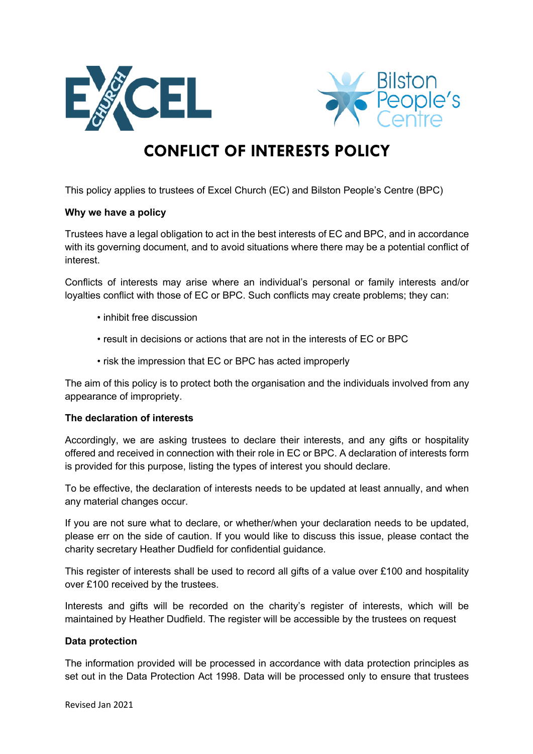



# **CONFLICT OF INTERESTS POLICY**

This policy applies to trustees of Excel Church (EC) and Bilston People's Centre (BPC)

#### **Why we have a policy**

Trustees have a legal obligation to act in the best interests of EC and BPC, and in accordance with its governing document, and to avoid situations where there may be a potential conflict of interest.

Conflicts of interests may arise where an individual's personal or family interests and/or loyalties conflict with those of EC or BPC. Such conflicts may create problems; they can:

- inhibit free discussion
- result in decisions or actions that are not in the interests of EC or BPC
- risk the impression that EC or BPC has acted improperly

The aim of this policy is to protect both the organisation and the individuals involved from any appearance of impropriety.

# **The declaration of interests**

Accordingly, we are asking trustees to declare their interests, and any gifts or hospitality offered and received in connection with their role in EC or BPC. A declaration of interests form is provided for this purpose, listing the types of interest you should declare.

To be effective, the declaration of interests needs to be updated at least annually, and when any material changes occur.

If you are not sure what to declare, or whether/when your declaration needs to be updated, please err on the side of caution. If you would like to discuss this issue, please contact the charity secretary Heather Dudfield for confidential guidance.

This register of interests shall be used to record all gifts of a value over £100 and hospitality over £100 received by the trustees.

Interests and gifts will be recorded on the charity's register of interests, which will be maintained by Heather Dudfield. The register will be accessible by the trustees on request

#### **Data protection**

The information provided will be processed in accordance with data protection principles as set out in the Data Protection Act 1998. Data will be processed only to ensure that trustees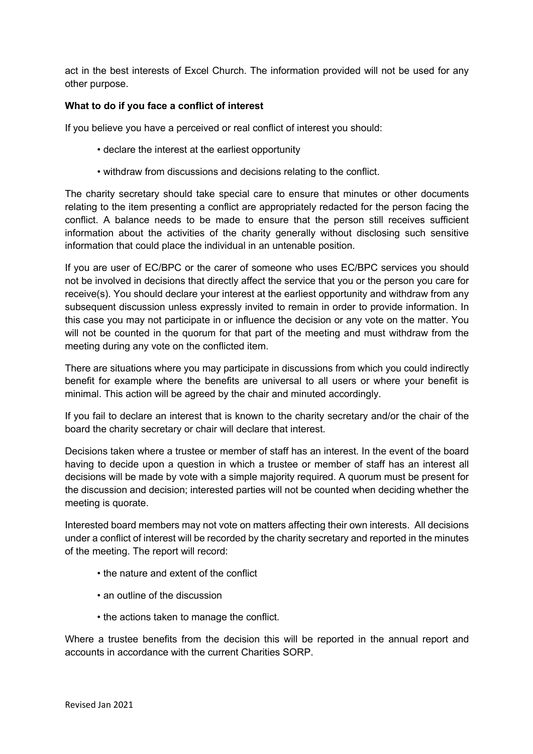act in the best interests of Excel Church. The information provided will not be used for any other purpose.

# **What to do if you face a conflict of interest**

If you believe you have a perceived or real conflict of interest you should:

- declare the interest at the earliest opportunity
- withdraw from discussions and decisions relating to the conflict.

The charity secretary should take special care to ensure that minutes or other documents relating to the item presenting a conflict are appropriately redacted for the person facing the conflict. A balance needs to be made to ensure that the person still receives sufficient information about the activities of the charity generally without disclosing such sensitive information that could place the individual in an untenable position.

If you are user of EC/BPC or the carer of someone who uses EC/BPC services you should not be involved in decisions that directly affect the service that you or the person you care for receive(s). You should declare your interest at the earliest opportunity and withdraw from any subsequent discussion unless expressly invited to remain in order to provide information. In this case you may not participate in or influence the decision or any vote on the matter. You will not be counted in the quorum for that part of the meeting and must withdraw from the meeting during any vote on the conflicted item.

There are situations where you may participate in discussions from which you could indirectly benefit for example where the benefits are universal to all users or where your benefit is minimal. This action will be agreed by the chair and minuted accordingly.

If you fail to declare an interest that is known to the charity secretary and/or the chair of the board the charity secretary or chair will declare that interest.

Decisions taken where a trustee or member of staff has an interest. In the event of the board having to decide upon a question in which a trustee or member of staff has an interest all decisions will be made by vote with a simple majority required. A quorum must be present for the discussion and decision; interested parties will not be counted when deciding whether the meeting is quorate.

Interested board members may not vote on matters affecting their own interests. All decisions under a conflict of interest will be recorded by the charity secretary and reported in the minutes of the meeting. The report will record:

- the nature and extent of the conflict
- an outline of the discussion
- the actions taken to manage the conflict.

Where a trustee benefits from the decision this will be reported in the annual report and accounts in accordance with the current Charities SORP.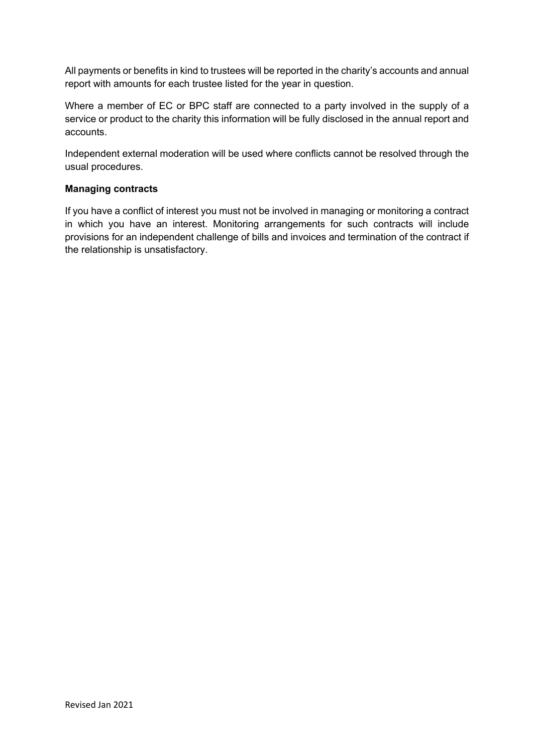All payments or benefits in kind to trustees will be reported in the charity's accounts and annual report with amounts for each trustee listed for the year in question.

Where a member of EC or BPC staff are connected to a party involved in the supply of a service or product to the charity this information will be fully disclosed in the annual report and accounts.

Independent external moderation will be used where conflicts cannot be resolved through the usual procedures.

## **Managing contracts**

If you have a conflict of interest you must not be involved in managing or monitoring a contract in which you have an interest. Monitoring arrangements for such contracts will include provisions for an independent challenge of bills and invoices and termination of the contract if the relationship is unsatisfactory.